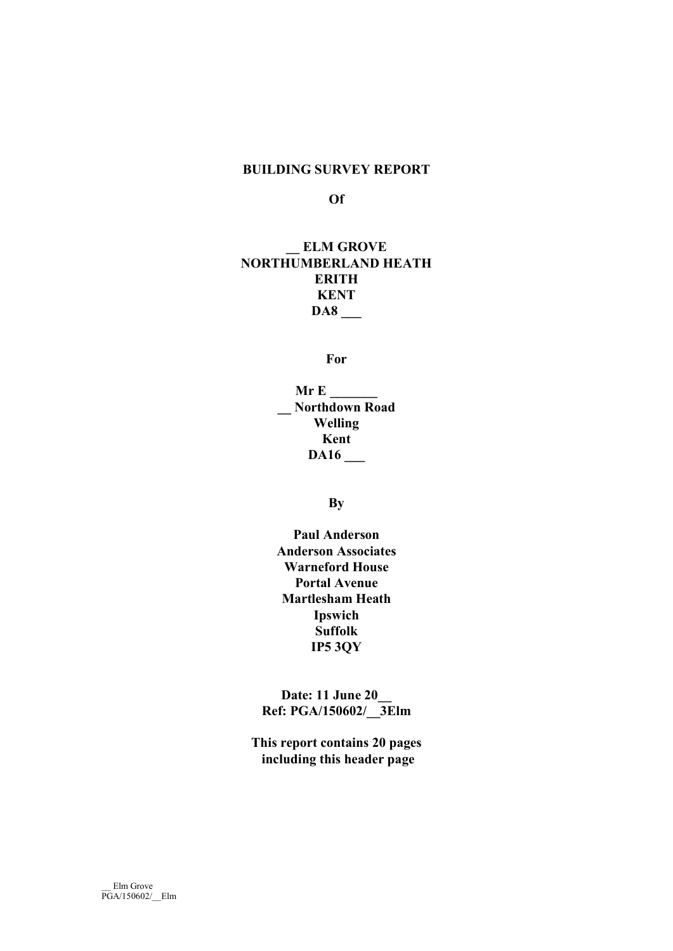# BUILDING SURVEY REPORT

#### Of

# ELM GROVE NORTHUMBERLAND HEATH **ERITH** KENT DA8 \_\_\_

For

Mr E \_\_\_\_\_\_\_ \_\_ Northdown Road Welling Kent DA16 \_\_\_

# By

Paul Anderson Anderson Associates Warneford House Portal Avenue Martlesham Heath Ipswich Suffolk IP5 3QY

Date: 11 June 20 Ref: PGA/150602/\_\_3Elm

This report contains 20 pages including this header page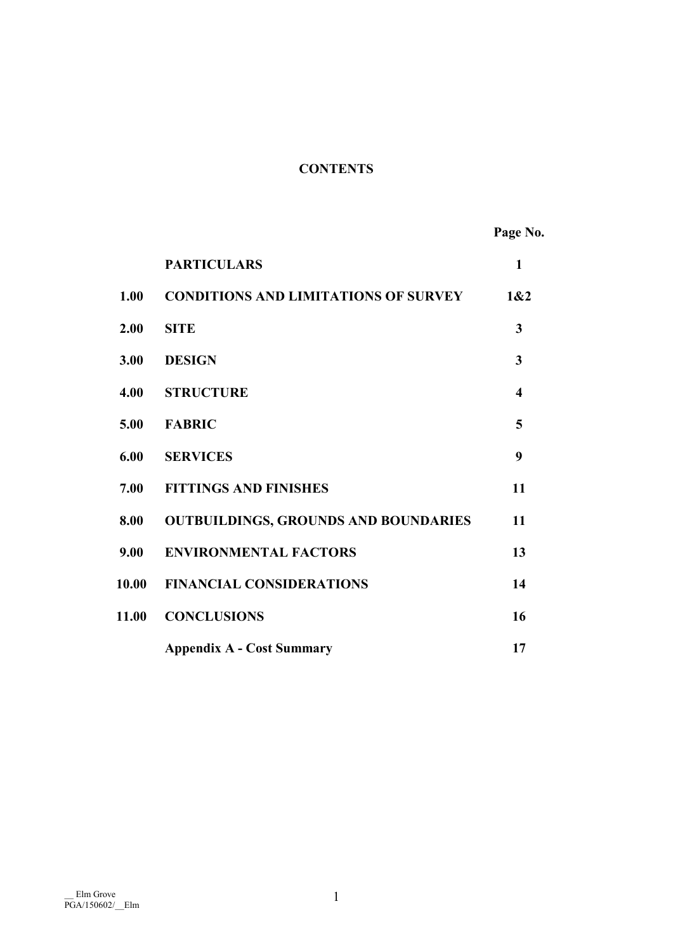# **CONTENTS**

Page No.

|       | <b>PARTICULARS</b>                          | $\mathbf{1}$ |
|-------|---------------------------------------------|--------------|
| 1.00  | <b>CONDITIONS AND LIMITATIONS OF SURVEY</b> | 1&2          |
| 2.00  | <b>SITE</b>                                 | 3            |
| 3.00  | <b>DESIGN</b>                               | 3            |
| 4.00  | <b>STRUCTURE</b>                            | 4            |
| 5.00  | <b>FABRIC</b>                               | 5            |
| 6.00  | <b>SERVICES</b>                             | 9            |
| 7.00  | <b>FITTINGS AND FINISHES</b>                | 11           |
| 8.00  | <b>OUTBUILDINGS, GROUNDS AND BOUNDARIES</b> | 11           |
| 9.00  | <b>ENVIRONMENTAL FACTORS</b>                | 13           |
| 10.00 | <b>FINANCIAL CONSIDERATIONS</b>             | 14           |
| 11.00 | <b>CONCLUSIONS</b>                          | 16           |
|       | <b>Appendix A - Cost Summary</b>            | 17           |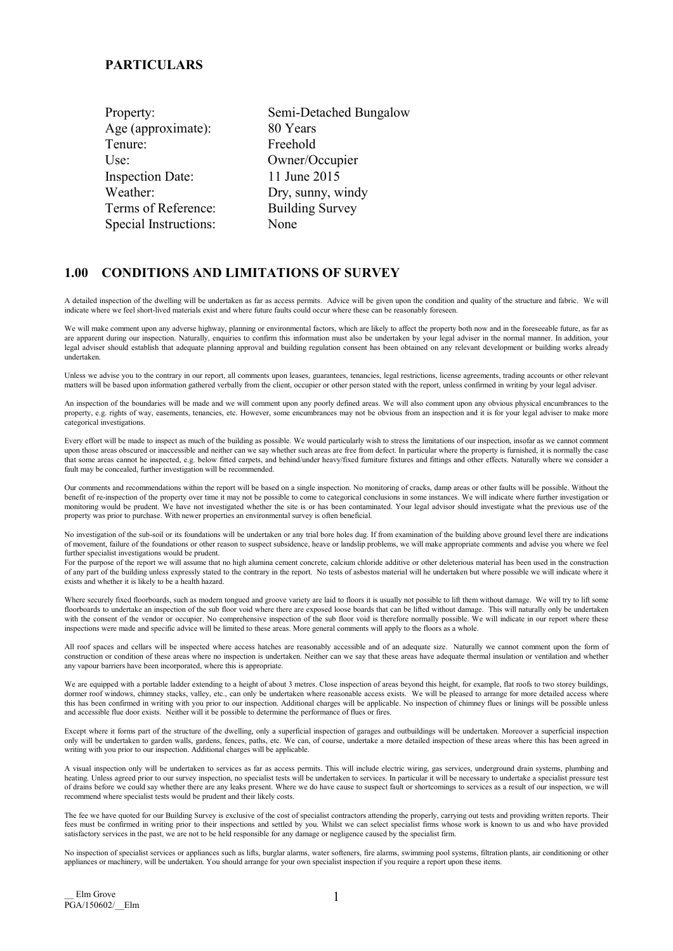#### **PARTICULARS**

| Semi-Detached Bungalow |
|------------------------|
| 80 Years               |
| Freehold               |
| Owner/Occupier         |
| 11 June 2015           |
| Dry, sunny, windy      |
| <b>Building Survey</b> |
| None                   |
|                        |

## 1.00 CONDITIONS AND LIMITATIONS OF SURVEY

A detailed inspection of the dwelling will be undertaken as far as access permits. Advice will be given upon the condition and quality of the structure and fabric. We will indicate where we feel short-lived materials exist and where future faults could occur where these can be reasonably foreseen.

We will make comment upon any adverse highway, planning or environmental factors, which are likely to affect the property both now and in the foreseeable future, as far as are apparent during our inspection. Naturally, enquiries to confirm this information must also be undertaken by your legal adviser in the normal manner. In addition, your legal adviser should establish that adequate planning approval and building regulation consent has been obtained on any relevant development or building works already undertaken.

Unless we advise you to the contrary in our report, all comments upon leases, guarantees, tenancies, legal restrictions, license agreements, trading accounts or other relevant matters will be based upon information gathered verbally from the client, occupier or other person stated with the report, unless confirmed in writing by your legal adviser.

An inspection of the boundaries will be made and we will comment upon any poorly defined areas. We will also comment upon any obvious physical encumbrances to the property, e.g. rights of way, easements, tenancies, etc. However, some encumbrances may not be obvious from an inspection and it is for your legal adviser to make more categorical investigations.

Every effort will be made to inspect as much of the building as possible. We would particularly wish to stress the limitations of our inspection, insofar as we cannot comment upon those areas obscured or inaccessible and neither can we say whether such areas are free from defect. In particular where the property is furnished, it is normally the case that some areas cannot he inspected, e.g. below fitted carpets, and behind/under heavy/fixed furniture fixtures and fittings and other effects. Naturally where we consider a fault may be concealed, further investigation will be recommended.

Our comments and recommendations within the report will be based on a single inspection. No monitoring of cracks, damp areas or other faults will be possible. Without the benefit of re-inspection of the property over time it may not be possible to come to categorical conclusions in some instances. We will indicate where further investigation or monitoring would be prudent. We have not investigated whether the site is or has been contaminated. Your legal advisor should investigate what the previous use of the property was prior to purchase. With newer properties an environmental survey is often beneficial.

No investigation of the sub-soil or its foundations will be undertaken or any trial bore holes dug. If from examination of the building above ground level there are indications of movement, failure of the foundations or other reason to suspect subsidence, heave or landslip problems, we will make appropriate comments and advise you where we feel further specialist investigations would be prudent.

For the purpose of the report we will assume that no high alumina cement concrete, calcium chloride additive or other deleterious material has been used in the construction of any part of the building unless expressly stated to the contrary in the report. No tests of asbestos material will he undertaken but where possible we will indicate where it exists and whether it is likely to be a health hazard.

Where securely fixed floorboards, such as modern tongued and groove variety are laid to floors it is usually not possible to lift them without damage. We will try to lift some floorboards to undertake an inspection of the sub floor void where there are exposed loose boards that can be lifted without damage. This will naturally only be undertaken with the consent of the vendor or occupier. No comprehensive inspection of the sub floor void is therefore normally possible. We will indicate in our report where these inspections were made and specific advice will be limited to these areas. More general comments will apply to the floors as a whole.

All roof spaces and cellars will be inspected where access hatches are reasonably accessible and of an adequate size. Naturally we cannot comment upon the form of construction or condition of these areas where no inspection is undertaken. Neither can we say that these areas have adequate thermal insulation or ventilation and whether any vapour barriers have been incorporated, where this is appropriate.

We are equipped with a portable ladder extending to a height of about 3 metres. Close inspection of areas beyond this height, for example, flat roofs to two storey buildings, dormer roof windows, chimney stacks, valley, etc., can only be undertaken where reasonable access exists. We will be pleased to arrange for more detailed access where this has been confirmed in writing with you prior to our inspection. Additional charges will be applicable. No inspection of chimney flues or linings will be possible unless and accessible flue door exists. Neither will it be possible to determine the performance of flues or fires.

Except where it forms part of the structure of the dwelling, only a superficial inspection of garages and outbuildings will be undertaken. Moreover a superficial inspection only will be undertaken to garden walls, gardens, fences, paths, etc. We can, of course, undertake a more detailed inspection of these areas where this has been agreed in writing with you prior to our inspection. Additional charges will be applicable.

A visual inspection only will be undertaken to services as far as access permits. This will include electric wiring, gas services, underground drain systems, plumbing and heating. Unless agreed prior to our survey inspection, no specialist tests will be undertaken to services. In particular it will be necessary to undertake a specialist pressure test of drains before we could say whether there are any leaks present. Where we do have cause to suspect fault or shortcomings to services as a result of our inspection, we will recommend where specialist tests would be prudent and their likely costs.

The fee we have quoted for our Building Survey is exclusive of the cost of specialist contractors attending the properly, carrying out tests and providing written reports. Their fees must be confirmed in writing prior to their inspections and settled by you. Whilst we can select specialist firms whose work is known to us and who have provided satisfactory services in the past, we are not to be held responsible for any damage or negligence caused by the specialist firm.

No inspection of specialist services or appliances such as lifts, burglar alarms, water softeners, fire alarms, swimming pool systems, filtration plants, air conditioning or other appliances or machinery, will be undertaken. You should arrange for your own specialist inspection if you require a report upon these items.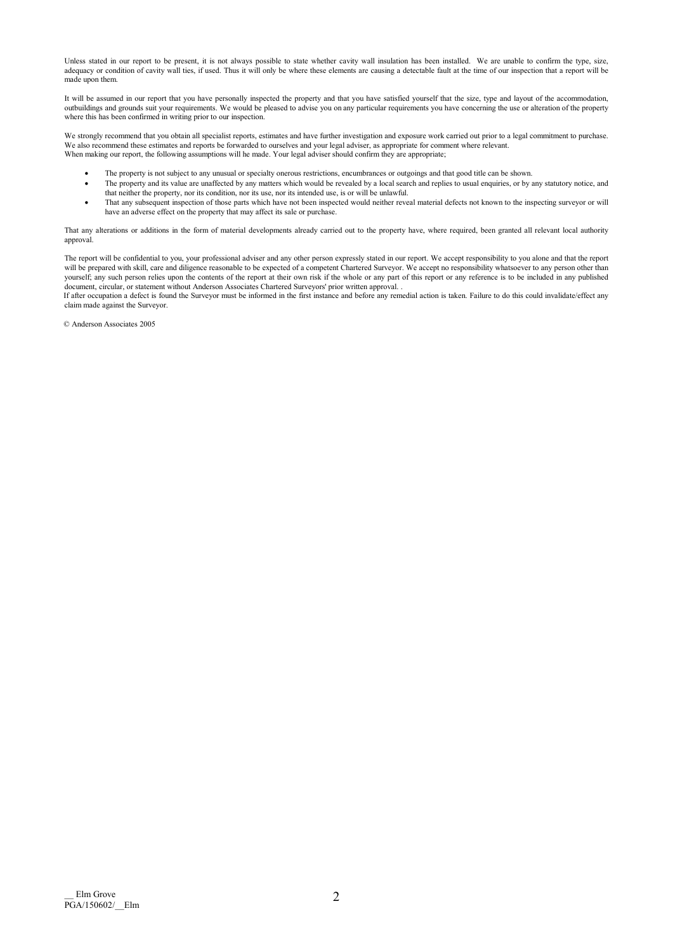Unless stated in our report to be present, it is not always possible to state whether cavity wall insulation has been installed. We are unable to confirm the type, size, adequacy or condition of cavity wall ties, if used. Thus it will only be where these elements are causing a detectable fault at the time of our inspection that a report will be adequacy or condition of cavity wall ties, if made upon them.

It will be assumed in our report that you have personally inspected the property and that you have satisfied yourself that the size, type and layout of the accommodation, outbuildings and grounds suit your requirements. We would be pleased to advise you on any particular requirements you have concerning the use or alteration of the property where this has been confirmed in writing prior to our inspection.

We strongly recommend that you obtain all specialist reports, estimates and have further investigation and exposure work carried out prior to a legal commitment to purchase. We also recommend these estimates and reports be forwarded to ourselves and your legal adviser, as appropriate for comment where relevant. When making our report, the following assumptions will he made. Your legal adviser should confirm they are appropriate;

- The property is not subject to any unusual or specialty onerous restrictions, encumbrances or outgoings and that good title can be shown.
- The property and its value are unaffected by any matters which would be revealed by a local search and replies to usual enquiries, or by any statutory notice, and that neither the property, nor its condition, nor its use, nor its intended use, is or will be unlawful.
- That any subsequent inspection of those parts which have not been inspected would neither reveal material defects not known to the inspecting surveyor or will have an adverse effect on the property that may affect its sale or purchase.

That any alterations or additions in the form of material developments already carried out to the property have, where required, been granted all relevant local authority approval.

The report will be confidential to you, your professional adviser and any other person expressly stated in our report. We accept responsibility to you alone and that the report will be prepared with skill, care and diligence reasonable to be expected of a competent Chartered Surveyor. We accept no responsibility whatsoever to any person other than yourself; any such person relies upon the contents of the report at their own risk if the whole or any part of this report or any reference is to be included in any published document, circular, or statement without Anderson Associates Chartered Surveyors' prior written approval. .

If after occupation a defect is found the Surveyor must be informed in the first instance and before any remedial action is taken. Failure to do this could invalidate/effect any claim made against the Surveyor.

© Anderson Associates 2005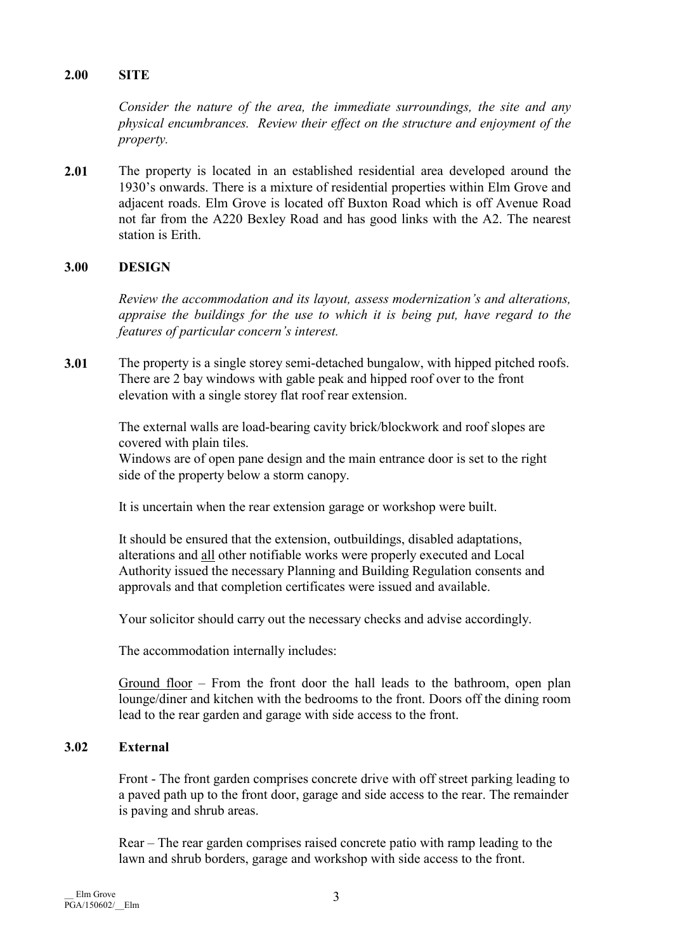# 2.00 SITE

Consider the nature of the area, the immediate surroundings, the site and any physical encumbrances. Review their effect on the structure and enjoyment of the property.

2.01 The property is located in an established residential area developed around the 1930's onwards. There is a mixture of residential properties within Elm Grove and adjacent roads. Elm Grove is located off Buxton Road which is off Avenue Road not far from the A220 Bexley Road and has good links with the A2. The nearest station is Erith.

# 3.00 DESIGN

Review the accommodation and its layout, assess modernization's and alterations, appraise the buildings for the use to which it is being put, have regard to the features of particular concern's interest.

3.01 The property is a single storey semi-detached bungalow, with hipped pitched roofs. There are 2 bay windows with gable peak and hipped roof over to the front elevation with a single storey flat roof rear extension.

> The external walls are load-bearing cavity brick/blockwork and roof slopes are covered with plain tiles.

> Windows are of open pane design and the main entrance door is set to the right side of the property below a storm canopy.

It is uncertain when the rear extension garage or workshop were built.

 It should be ensured that the extension, outbuildings, disabled adaptations, alterations and all other notifiable works were properly executed and Local Authority issued the necessary Planning and Building Regulation consents and approvals and that completion certificates were issued and available.

Your solicitor should carry out the necessary checks and advise accordingly.

The accommodation internally includes:

 Ground floor – From the front door the hall leads to the bathroom, open plan lounge/diner and kitchen with the bedrooms to the front. Doors off the dining room lead to the rear garden and garage with side access to the front.

# 3.02 External

 Front - The front garden comprises concrete drive with off street parking leading to a paved path up to the front door, garage and side access to the rear. The remainder is paving and shrub areas.

 Rear – The rear garden comprises raised concrete patio with ramp leading to the lawn and shrub borders, garage and workshop with side access to the front.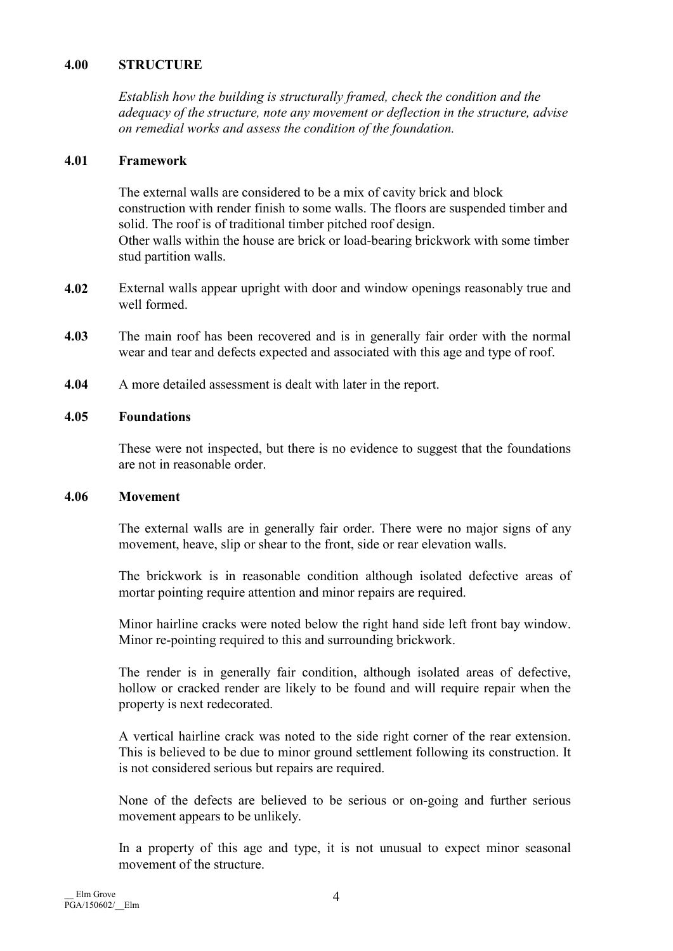# 4.00 STRUCTURE

Establish how the building is structurally framed, check the condition and the adequacy of the structure, note any movement or deflection in the structure, advise on remedial works and assess the condition of the foundation.

# 4.01 Framework

The external walls are considered to be a mix of cavity brick and block construction with render finish to some walls. The floors are suspended timber and solid. The roof is of traditional timber pitched roof design. Other walls within the house are brick or load-bearing brickwork with some timber stud partition walls.

- 4.02 External walls appear upright with door and window openings reasonably true and well formed.
- 4.03 The main roof has been recovered and is in generally fair order with the normal wear and tear and defects expected and associated with this age and type of roof.
- 4.04 A more detailed assessment is dealt with later in the report.

# 4.05 Foundations

These were not inspected, but there is no evidence to suggest that the foundations are not in reasonable order.

# 4.06 Movement

 The external walls are in generally fair order. There were no major signs of any movement, heave, slip or shear to the front, side or rear elevation walls.

 The brickwork is in reasonable condition although isolated defective areas of mortar pointing require attention and minor repairs are required.

 Minor hairline cracks were noted below the right hand side left front bay window. Minor re-pointing required to this and surrounding brickwork.

 The render is in generally fair condition, although isolated areas of defective, hollow or cracked render are likely to be found and will require repair when the property is next redecorated.

 A vertical hairline crack was noted to the side right corner of the rear extension. This is believed to be due to minor ground settlement following its construction. It is not considered serious but repairs are required.

 None of the defects are believed to be serious or on-going and further serious movement appears to be unlikely.

 In a property of this age and type, it is not unusual to expect minor seasonal movement of the structure.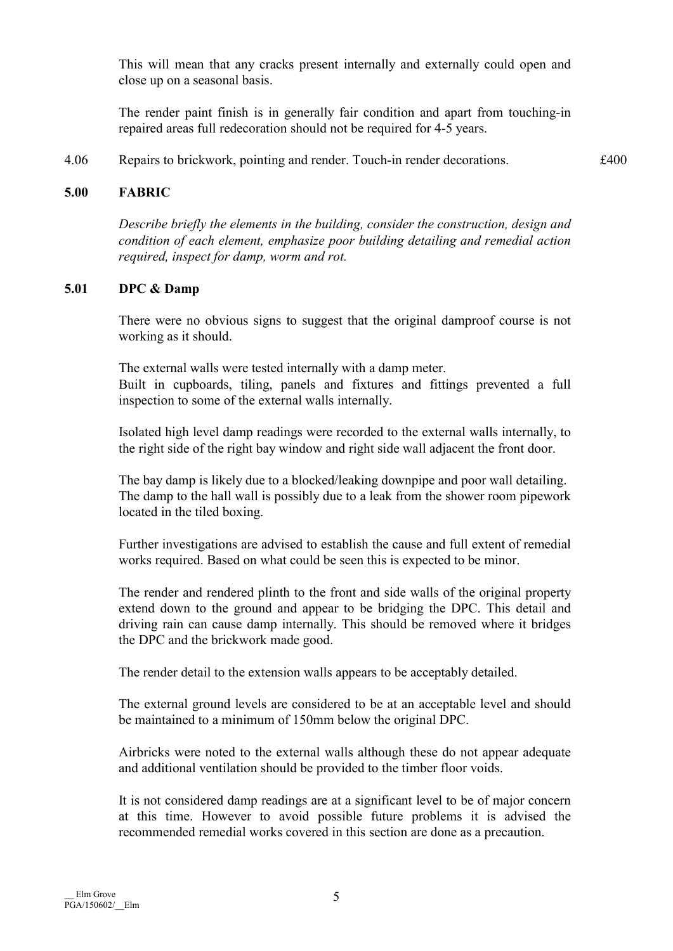This will mean that any cracks present internally and externally could open and close up on a seasonal basis.

 The render paint finish is in generally fair condition and apart from touching-in repaired areas full redecoration should not be required for 4-5 years.

4.06 Repairs to brickwork, pointing and render. Touch-in render decorations.  $\pounds 400$ 

# 5.00 FABRIC

Describe briefly the elements in the building, consider the construction, design and condition of each element, emphasize poor building detailing and remedial action required, inspect for damp, worm and rot.

#### 5.01 DPC & Damp

 There were no obvious signs to suggest that the original damproof course is not working as it should.

 The external walls were tested internally with a damp meter. Built in cupboards, tiling, panels and fixtures and fittings prevented a full inspection to some of the external walls internally.

 Isolated high level damp readings were recorded to the external walls internally, to the right side of the right bay window and right side wall adjacent the front door.

 The bay damp is likely due to a blocked/leaking downpipe and poor wall detailing. The damp to the hall wall is possibly due to a leak from the shower room pipework located in the tiled boxing.

 Further investigations are advised to establish the cause and full extent of remedial works required. Based on what could be seen this is expected to be minor.

 The render and rendered plinth to the front and side walls of the original property extend down to the ground and appear to be bridging the DPC. This detail and driving rain can cause damp internally. This should be removed where it bridges the DPC and the brickwork made good.

The render detail to the extension walls appears to be acceptably detailed.

 The external ground levels are considered to be at an acceptable level and should be maintained to a minimum of 150mm below the original DPC.

 Airbricks were noted to the external walls although these do not appear adequate and additional ventilation should be provided to the timber floor voids.

 It is not considered damp readings are at a significant level to be of major concern at this time. However to avoid possible future problems it is advised the recommended remedial works covered in this section are done as a precaution.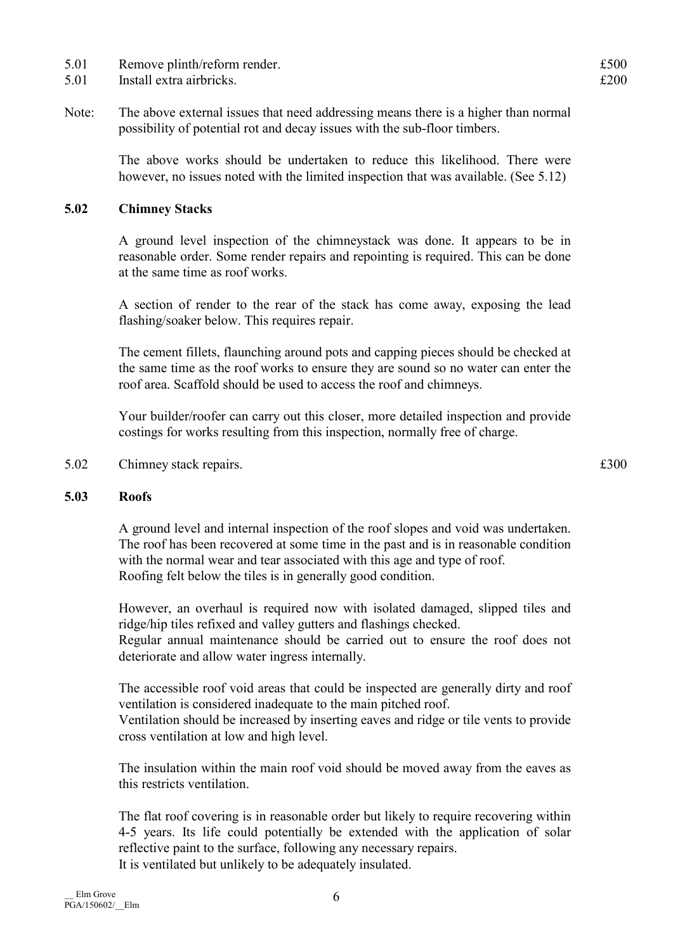- 5.01 Remove plinth/reform render.  $£500$
- 5.01 Install extra airbricks.  $\epsilon$  200

Note: The above external issues that need addressing means there is a higher than normal possibility of potential rot and decay issues with the sub-floor timbers.

> The above works should be undertaken to reduce this likelihood. There were however, no issues noted with the limited inspection that was available. (See 5.12)

# 5.02 Chimney Stacks

 A ground level inspection of the chimneystack was done. It appears to be in reasonable order. Some render repairs and repointing is required. This can be done at the same time as roof works.

 A section of render to the rear of the stack has come away, exposing the lead flashing/soaker below. This requires repair.

 The cement fillets, flaunching around pots and capping pieces should be checked at the same time as the roof works to ensure they are sound so no water can enter the roof area. Scaffold should be used to access the roof and chimneys.

 Your builder/roofer can carry out this closer, more detailed inspection and provide costings for works resulting from this inspection, normally free of charge.

5.02 Chimney stack repairs.  $\text{\pounds}300$ 

# 5.03 Roofs

 A ground level and internal inspection of the roof slopes and void was undertaken. The roof has been recovered at some time in the past and is in reasonable condition with the normal wear and tear associated with this age and type of roof. Roofing felt below the tiles is in generally good condition.

 However, an overhaul is required now with isolated damaged, slipped tiles and ridge/hip tiles refixed and valley gutters and flashings checked.

Regular annual maintenance should be carried out to ensure the roof does not deteriorate and allow water ingress internally.

 The accessible roof void areas that could be inspected are generally dirty and roof ventilation is considered inadequate to the main pitched roof. Ventilation should be increased by inserting eaves and ridge or tile vents to provide cross ventilation at low and high level.

 The insulation within the main roof void should be moved away from the eaves as this restricts ventilation.

 The flat roof covering is in reasonable order but likely to require recovering within 4-5 years. Its life could potentially be extended with the application of solar reflective paint to the surface, following any necessary repairs. It is ventilated but unlikely to be adequately insulated.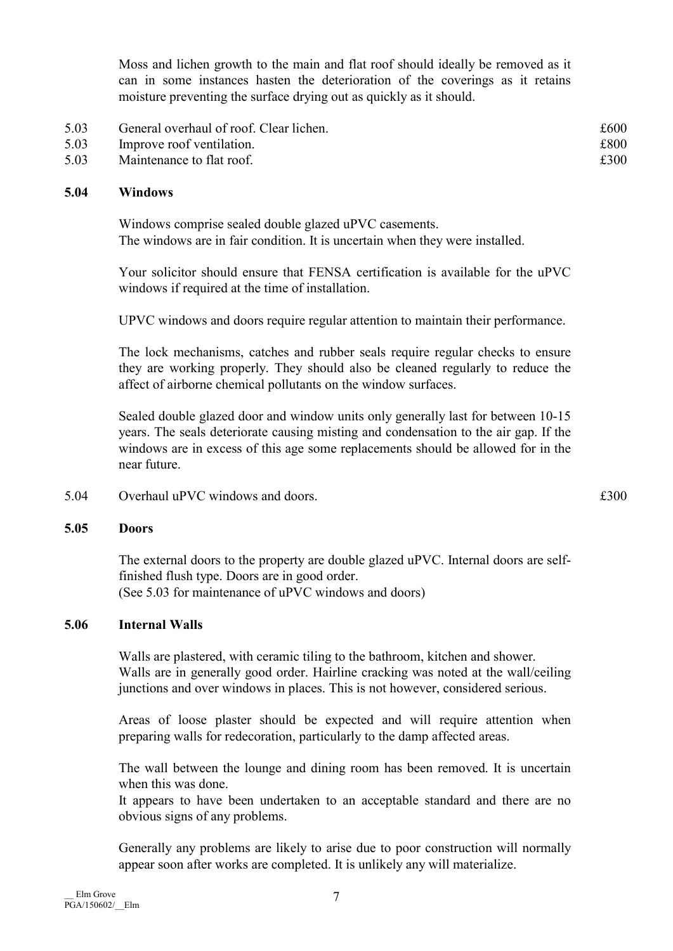Moss and lichen growth to the main and flat roof should ideally be removed as it can in some instances hasten the deterioration of the coverings as it retains moisture preventing the surface drying out as quickly as it should.

| 5.03 | General overhaul of roof. Clear lichen. | £600 |
|------|-----------------------------------------|------|
| 5.03 | Improve roof ventilation.               | £800 |
| 5.03 | Maintenance to flat roof.               | £300 |

# 5.04 Windows

 Windows comprise sealed double glazed uPVC casements. The windows are in fair condition. It is uncertain when they were installed.

 Your solicitor should ensure that FENSA certification is available for the uPVC windows if required at the time of installation.

UPVC windows and doors require regular attention to maintain their performance.

 The lock mechanisms, catches and rubber seals require regular checks to ensure they are working properly. They should also be cleaned regularly to reduce the affect of airborne chemical pollutants on the window surfaces.

 Sealed double glazed door and window units only generally last for between 10-15 years. The seals deteriorate causing misting and condensation to the air gap. If the windows are in excess of this age some replacements should be allowed for in the near future.

5.04 Overhaul uPVC windows and doors. £300

#### 5.05 Doors

 The external doors to the property are double glazed uPVC. Internal doors are selffinished flush type. Doors are in good order. (See 5.03 for maintenance of uPVC windows and doors)

# 5.06 Internal Walls

 Walls are plastered, with ceramic tiling to the bathroom, kitchen and shower. Walls are in generally good order. Hairline cracking was noted at the wall/ceiling junctions and over windows in places. This is not however, considered serious.

 Areas of loose plaster should be expected and will require attention when preparing walls for redecoration, particularly to the damp affected areas.

 The wall between the lounge and dining room has been removed. It is uncertain when this was done.

It appears to have been undertaken to an acceptable standard and there are no obvious signs of any problems.

 Generally any problems are likely to arise due to poor construction will normally appear soon after works are completed. It is unlikely any will materialize.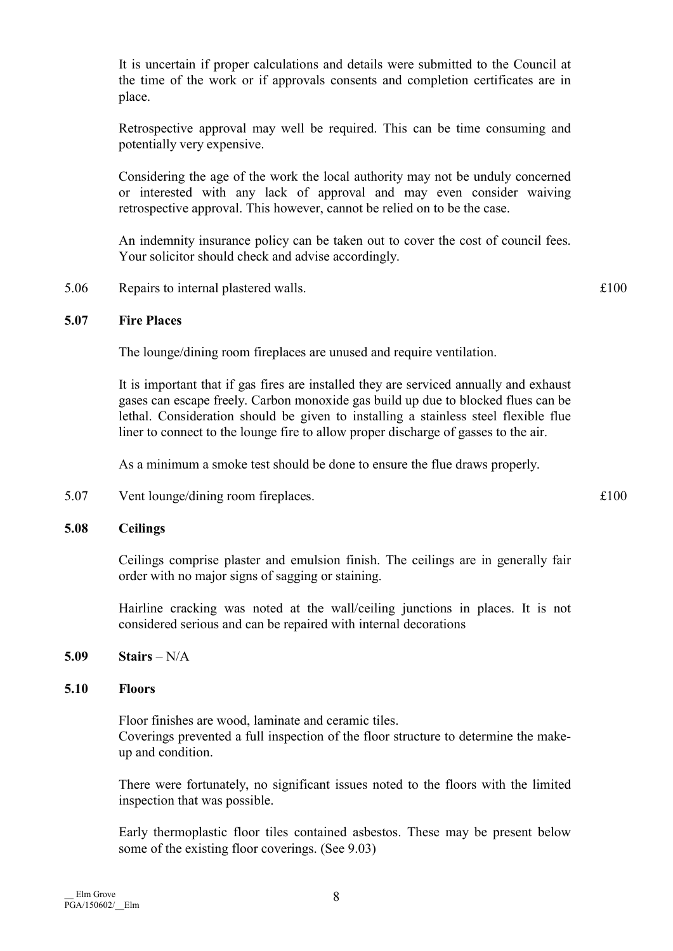It is uncertain if proper calculations and details were submitted to the Council at the time of the work or if approvals consents and completion certificates are in place.

 Retrospective approval may well be required. This can be time consuming and potentially very expensive.

 Considering the age of the work the local authority may not be unduly concerned or interested with any lack of approval and may even consider waiving retrospective approval. This however, cannot be relied on to be the case.

 An indemnity insurance policy can be taken out to cover the cost of council fees. Your solicitor should check and advise accordingly.

5.06 Repairs to internal plastered walls.  $\text{£}100$ 

# 5.07 Fire Places

The lounge/dining room fireplaces are unused and require ventilation.

 It is important that if gas fires are installed they are serviced annually and exhaust gases can escape freely. Carbon monoxide gas build up due to blocked flues can be lethal. Consideration should be given to installing a stainless steel flexible flue liner to connect to the lounge fire to allow proper discharge of gasses to the air.

As a minimum a smoke test should be done to ensure the flue draws properly.

5.07 Vent lounge/dining room fireplaces.  $\text{£}100$ 

# 5.08 Ceilings

 Ceilings comprise plaster and emulsion finish. The ceilings are in generally fair order with no major signs of sagging or staining.

 Hairline cracking was noted at the wall/ceiling junctions in places. It is not considered serious and can be repaired with internal decorations

 $5.09$  Stairs – N/A

# 5.10 Floors

 Floor finishes are wood, laminate and ceramic tiles. Coverings prevented a full inspection of the floor structure to determine the makeup and condition.

 There were fortunately, no significant issues noted to the floors with the limited inspection that was possible.

 Early thermoplastic floor tiles contained asbestos. These may be present below some of the existing floor coverings. (See 9.03)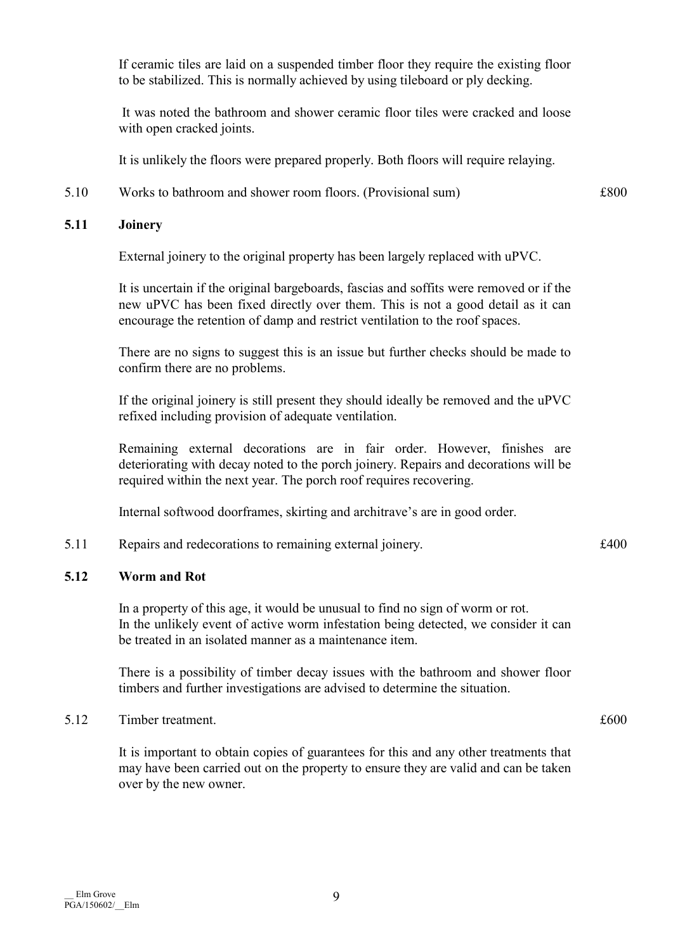If ceramic tiles are laid on a suspended timber floor they require the existing floor to be stabilized. This is normally achieved by using tileboard or ply decking.

 It was noted the bathroom and shower ceramic floor tiles were cracked and loose with open cracked joints.

It is unlikely the floors were prepared properly. Both floors will require relaying.

5.10 Works to bathroom and shower room floors. (Provisional sum) £800

# 5.11 Joinery

External joinery to the original property has been largely replaced with uPVC.

 It is uncertain if the original bargeboards, fascias and soffits were removed or if the new uPVC has been fixed directly over them. This is not a good detail as it can encourage the retention of damp and restrict ventilation to the roof spaces.

There are no signs to suggest this is an issue but further checks should be made to confirm there are no problems.

 If the original joinery is still present they should ideally be removed and the uPVC refixed including provision of adequate ventilation.

 Remaining external decorations are in fair order. However, finishes are deteriorating with decay noted to the porch joinery. Repairs and decorations will be required within the next year. The porch roof requires recovering.

Internal softwood doorframes, skirting and architrave's are in good order.

5.11 Repairs and redecorations to remaining external joinery.  $\pounds 400$ 

# 5.12 Worm and Rot

 In a property of this age, it would be unusual to find no sign of worm or rot. In the unlikely event of active worm infestation being detected, we consider it can be treated in an isolated manner as a maintenance item.

 There is a possibility of timber decay issues with the bathroom and shower floor timbers and further investigations are advised to determine the situation.

# 5.12 Timber treatment.  $\epsilon$  600

 It is important to obtain copies of guarantees for this and any other treatments that may have been carried out on the property to ensure they are valid and can be taken over by the new owner.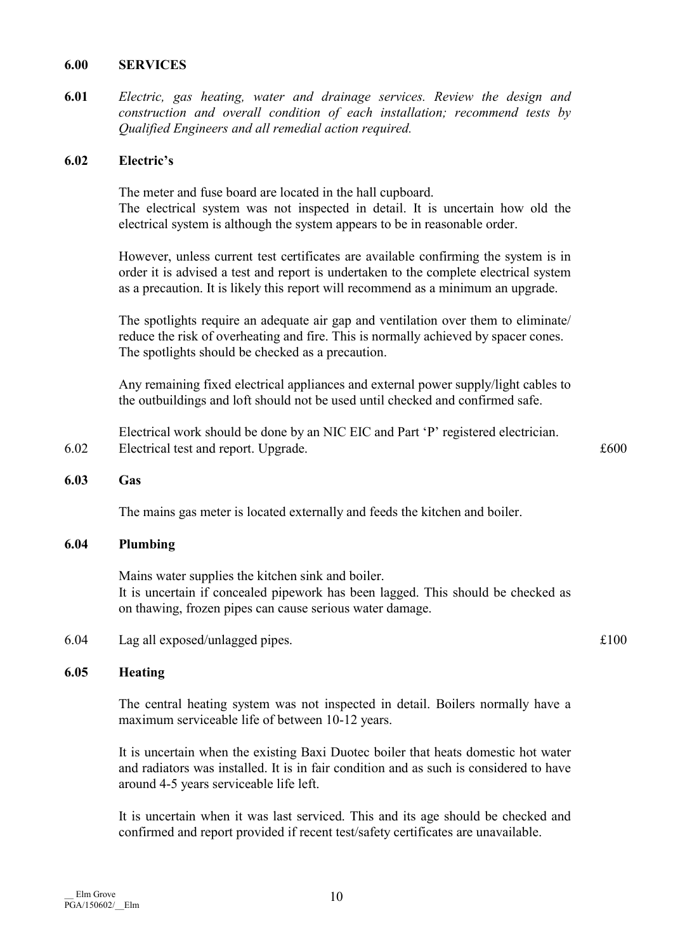#### 6.00 SERVICES

6.01 Electric, gas heating, water and drainage services. Review the design and construction and overall condition of each installation; recommend tests by Qualified Engineers and all remedial action required.

### 6.02 Electric's

 The meter and fuse board are located in the hall cupboard. The electrical system was not inspected in detail. It is uncertain how old the electrical system is although the system appears to be in reasonable order.

 However, unless current test certificates are available confirming the system is in order it is advised a test and report is undertaken to the complete electrical system as a precaution. It is likely this report will recommend as a minimum an upgrade.

 The spotlights require an adequate air gap and ventilation over them to eliminate/ reduce the risk of overheating and fire. This is normally achieved by spacer cones. The spotlights should be checked as a precaution.

 Any remaining fixed electrical appliances and external power supply/light cables to the outbuildings and loft should not be used until checked and confirmed safe.

 Electrical work should be done by an NIC EIC and Part 'P' registered electrician. 6.02 Electrical test and report. Upgrade.  $\text{£}600$ 

# 6.03 Gas

The mains gas meter is located externally and feeds the kitchen and boiler.

#### 6.04 Plumbing

 Mains water supplies the kitchen sink and boiler. It is uncertain if concealed pipework has been lagged. This should be checked as on thawing, frozen pipes can cause serious water damage.

6.04 Lag all exposed/unlagged pipes. £100

#### 6.05 Heating

 The central heating system was not inspected in detail. Boilers normally have a maximum serviceable life of between 10-12 years.

 It is uncertain when the existing Baxi Duotec boiler that heats domestic hot water and radiators was installed. It is in fair condition and as such is considered to have around 4-5 years serviceable life left.

 It is uncertain when it was last serviced. This and its age should be checked and confirmed and report provided if recent test/safety certificates are unavailable.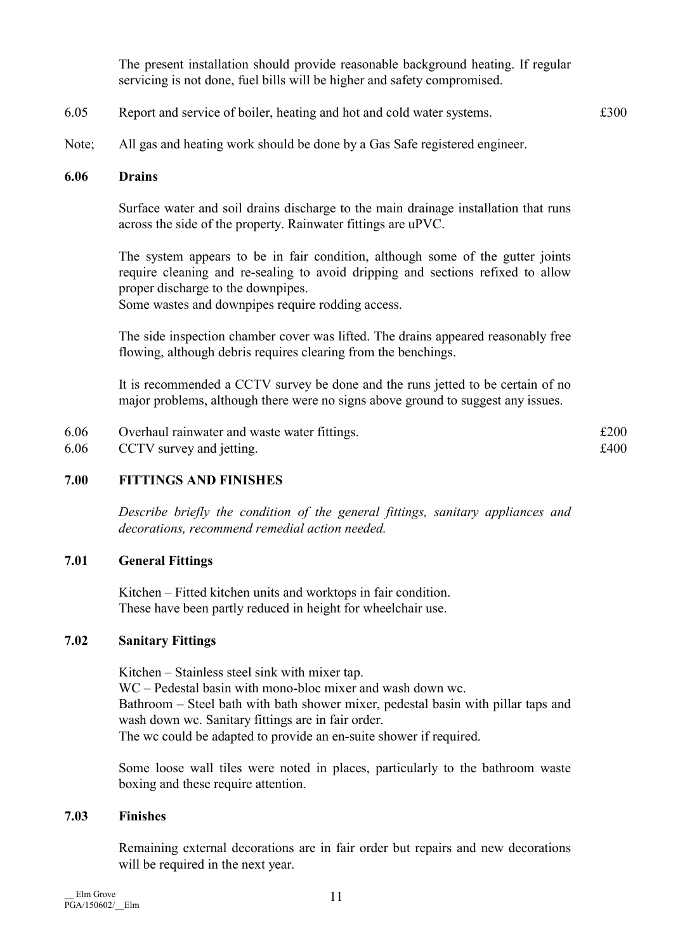The present installation should provide reasonable background heating. If regular servicing is not done, fuel bills will be higher and safety compromised.

- 6.05 Report and service of boiler, heating and hot and cold water systems. £300
- Note; All gas and heating work should be done by a Gas Safe registered engineer.

### 6.06 Drains

 Surface water and soil drains discharge to the main drainage installation that runs across the side of the property. Rainwater fittings are uPVC.

 The system appears to be in fair condition, although some of the gutter joints require cleaning and re-sealing to avoid dripping and sections refixed to allow proper discharge to the downpipes.

Some wastes and downpipes require rodding access.

 The side inspection chamber cover was lifted. The drains appeared reasonably free flowing, although debris requires clearing from the benchings.

 It is recommended a CCTV survey be done and the runs jetted to be certain of no major problems, although there were no signs above ground to suggest any issues.

| 6.06 | Overhaul rainwater and waste water fittings. | £200 |
|------|----------------------------------------------|------|
| 6.06 | CCTV survey and jetting.                     | £400 |

# 7.00 FITTINGS AND FINISHES

Describe briefly the condition of the general fittings, sanitary appliances and decorations, recommend remedial action needed.

# 7.01 General Fittings

 Kitchen – Fitted kitchen units and worktops in fair condition. These have been partly reduced in height for wheelchair use.

# 7.02 Sanitary Fittings

 Kitchen – Stainless steel sink with mixer tap. WC – Pedestal basin with mono-bloc mixer and wash down wc. Bathroom – Steel bath with bath shower mixer, pedestal basin with pillar taps and wash down wc. Sanitary fittings are in fair order. The wc could be adapted to provide an en-suite shower if required.

 Some loose wall tiles were noted in places, particularly to the bathroom waste boxing and these require attention.

# 7.03 Finishes

 Remaining external decorations are in fair order but repairs and new decorations will be required in the next year.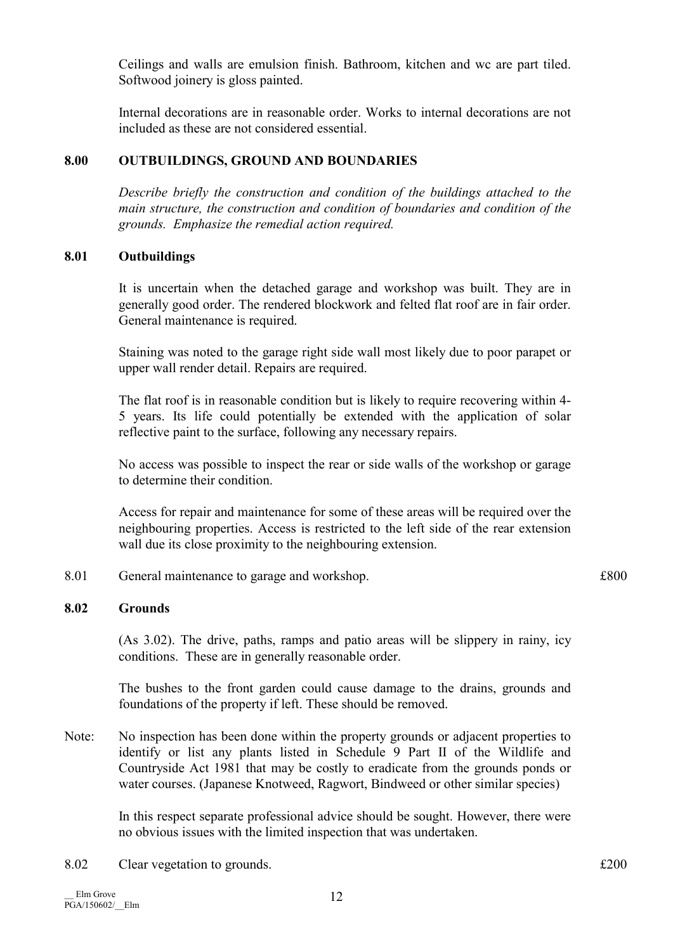Ceilings and walls are emulsion finish. Bathroom, kitchen and wc are part tiled. Softwood joinery is gloss painted.

 Internal decorations are in reasonable order. Works to internal decorations are not included as these are not considered essential.

# 8.00 OUTBUILDINGS, GROUND AND BOUNDARIES

Describe briefly the construction and condition of the buildings attached to the main structure, the construction and condition of boundaries and condition of the grounds. Emphasize the remedial action required.

# 8.01 Outbuildings

 It is uncertain when the detached garage and workshop was built. They are in generally good order. The rendered blockwork and felted flat roof are in fair order. General maintenance is required.

 Staining was noted to the garage right side wall most likely due to poor parapet or upper wall render detail. Repairs are required.

 The flat roof is in reasonable condition but is likely to require recovering within 4- 5 years. Its life could potentially be extended with the application of solar reflective paint to the surface, following any necessary repairs.

 No access was possible to inspect the rear or side walls of the workshop or garage to determine their condition.

 Access for repair and maintenance for some of these areas will be required over the neighbouring properties. Access is restricted to the left side of the rear extension wall due its close proximity to the neighbouring extension.

8.01 General maintenance to garage and workshop.  $£800$ 

# 8.02 Grounds

 (As 3.02). The drive, paths, ramps and patio areas will be slippery in rainy, icy conditions. These are in generally reasonable order.

 The bushes to the front garden could cause damage to the drains, grounds and foundations of the property if left. These should be removed.

Note: No inspection has been done within the property grounds or adjacent properties to identify or list any plants listed in Schedule 9 Part II of the Wildlife and Countryside Act 1981 that may be costly to eradicate from the grounds ponds or water courses. (Japanese Knotweed, Ragwort, Bindweed or other similar species)

> In this respect separate professional advice should be sought. However, there were no obvious issues with the limited inspection that was undertaken.

8.02 Clear vegetation to grounds.  $\text{£}200$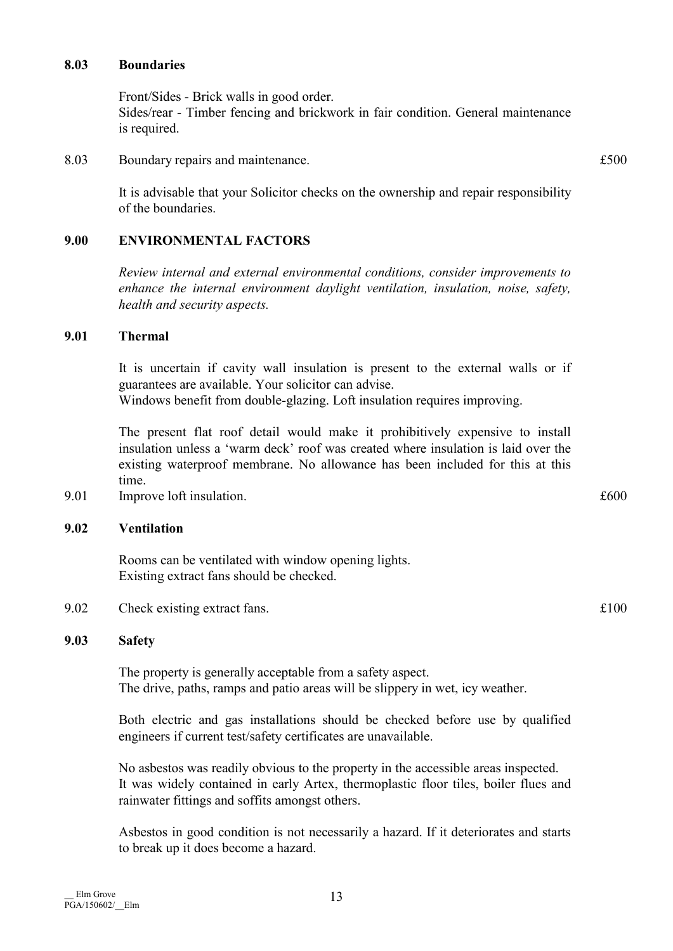#### 8.03 Boundaries

 Front/Sides - Brick walls in good order. Sides/rear - Timber fencing and brickwork in fair condition. General maintenance is required.

8.03 Boundary repairs and maintenance.  $£500$ 

 It is advisable that your Solicitor checks on the ownership and repair responsibility of the boundaries.

# 9.00 ENVIRONMENTAL FACTORS

Review internal and external environmental conditions, consider improvements to enhance the internal environment daylight ventilation, insulation, noise, safety, health and security aspects.

# 9.01 Thermal

 It is uncertain if cavity wall insulation is present to the external walls or if guarantees are available. Your solicitor can advise. Windows benefit from double-glazing. Loft insulation requires improving.

 The present flat roof detail would make it prohibitively expensive to install insulation unless a 'warm deck' roof was created where insulation is laid over the existing waterproof membrane. No allowance has been included for this at this time.

9.01 Improve loft insulation.  $\text{£}600$ 

#### 9.02 Ventilation

 Rooms can be ventilated with window opening lights. Existing extract fans should be checked.

9.02 Check existing extract fans.  $\text{£}100$ 

# 9.03 Safety

 The property is generally acceptable from a safety aspect. The drive, paths, ramps and patio areas will be slippery in wet, icy weather.

 Both electric and gas installations should be checked before use by qualified engineers if current test/safety certificates are unavailable.

 No asbestos was readily obvious to the property in the accessible areas inspected. It was widely contained in early Artex, thermoplastic floor tiles, boiler flues and rainwater fittings and soffits amongst others.

 Asbestos in good condition is not necessarily a hazard. If it deteriorates and starts to break up it does become a hazard.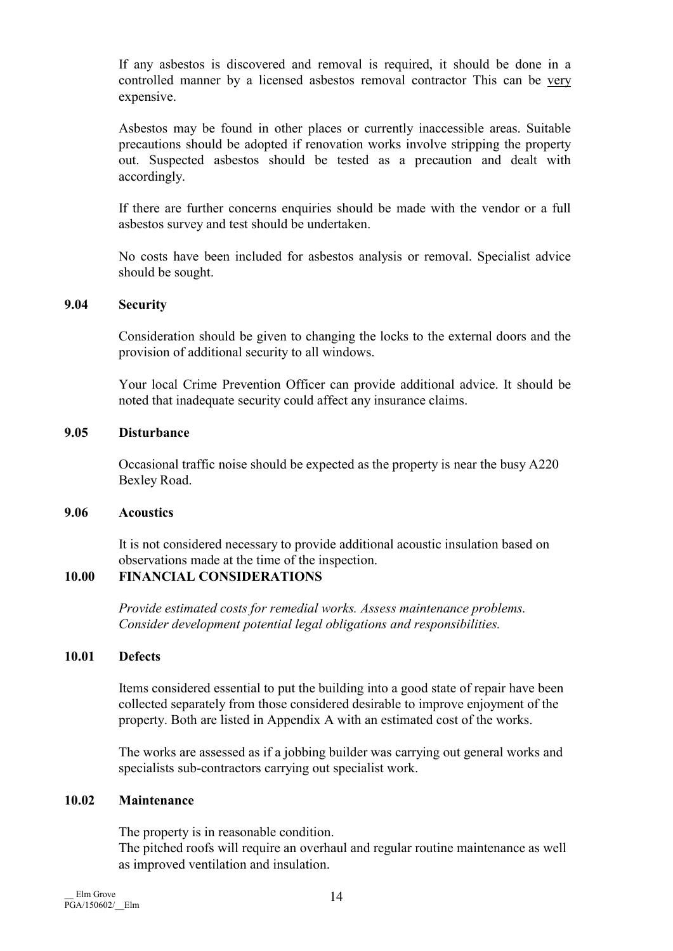If any asbestos is discovered and removal is required, it should be done in a controlled manner by a licensed asbestos removal contractor This can be very expensive.

 Asbestos may be found in other places or currently inaccessible areas. Suitable precautions should be adopted if renovation works involve stripping the property out. Suspected asbestos should be tested as a precaution and dealt with accordingly.

 If there are further concerns enquiries should be made with the vendor or a full asbestos survey and test should be undertaken.

 No costs have been included for asbestos analysis or removal. Specialist advice should be sought.

# 9.04 Security

 Consideration should be given to changing the locks to the external doors and the provision of additional security to all windows.

 Your local Crime Prevention Officer can provide additional advice. It should be noted that inadequate security could affect any insurance claims.

#### 9.05 Disturbance

 Occasional traffic noise should be expected as the property is near the busy A220 Bexley Road.

# 9.06 Acoustics

 It is not considered necessary to provide additional acoustic insulation based on observations made at the time of the inspection.

# 10.00 FINANCIAL CONSIDERATIONS

Provide estimated costs for remedial works. Assess maintenance problems. Consider development potential legal obligations and responsibilities.

# 10.01 Defects

 Items considered essential to put the building into a good state of repair have been collected separately from those considered desirable to improve enjoyment of the property. Both are listed in Appendix A with an estimated cost of the works.

 The works are assessed as if a jobbing builder was carrying out general works and specialists sub-contractors carrying out specialist work.

# 10.02 Maintenance

 The property is in reasonable condition. The pitched roofs will require an overhaul and regular routine maintenance as well as improved ventilation and insulation.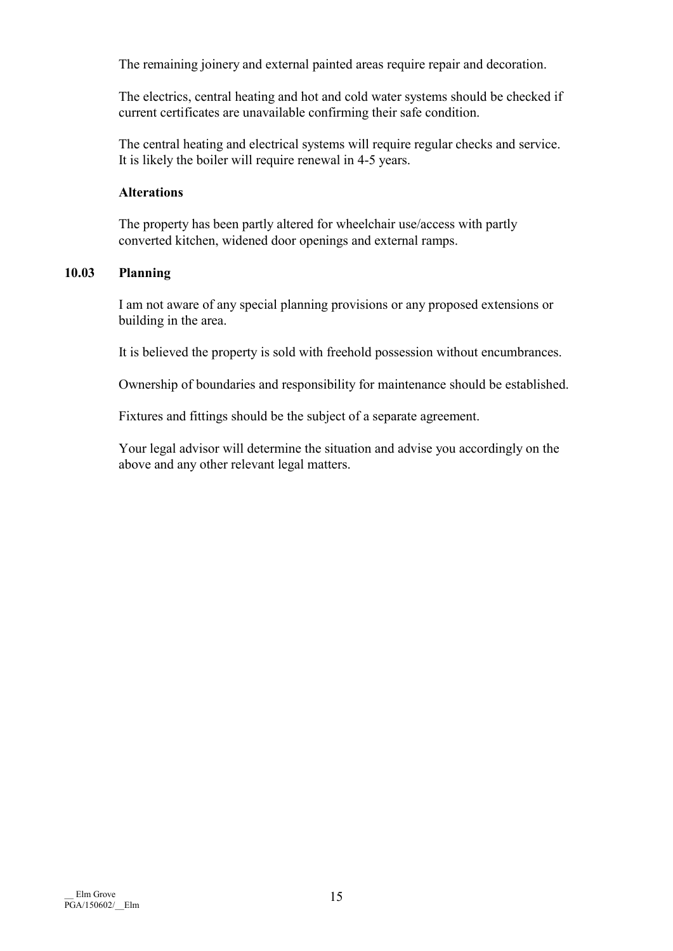The remaining joinery and external painted areas require repair and decoration.

 The electrics, central heating and hot and cold water systems should be checked if current certificates are unavailable confirming their safe condition.

 The central heating and electrical systems will require regular checks and service. It is likely the boiler will require renewal in 4-5 years.

# Alterations

 The property has been partly altered for wheelchair use/access with partly converted kitchen, widened door openings and external ramps.

# 10.03 Planning

 I am not aware of any special planning provisions or any proposed extensions or building in the area.

It is believed the property is sold with freehold possession without encumbrances.

Ownership of boundaries and responsibility for maintenance should be established.

Fixtures and fittings should be the subject of a separate agreement.

 Your legal advisor will determine the situation and advise you accordingly on the above and any other relevant legal matters.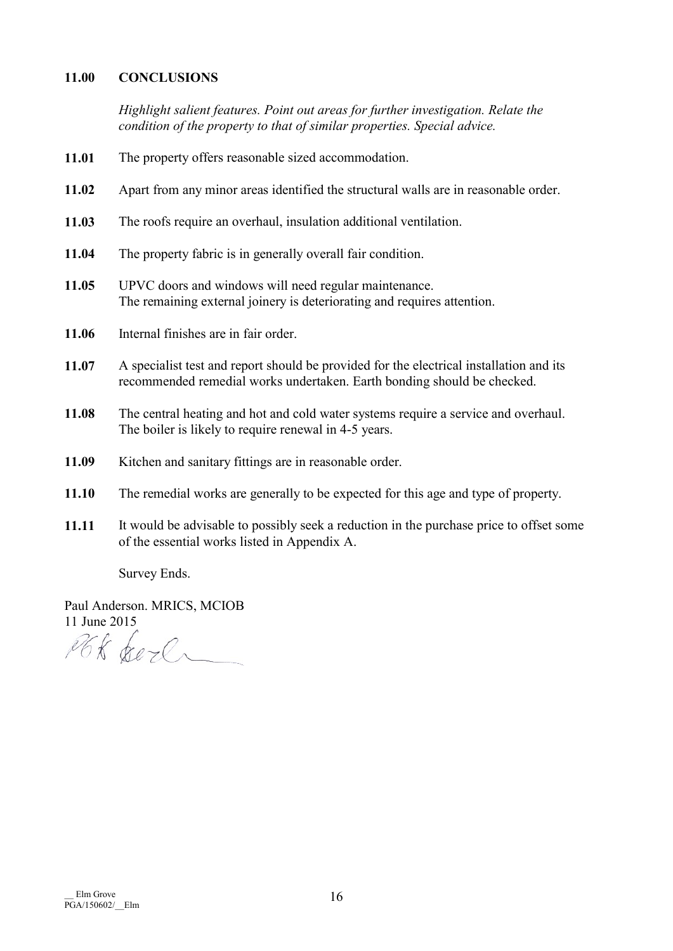# 11.00 CONCLUSIONS

Highlight salient features. Point out areas for further investigation. Relate the condition of the property to that of similar properties. Special advice.

- 11.01 The property offers reasonable sized accommodation.
- 11.02 Apart from any minor areas identified the structural walls are in reasonable order.
- 11.03 The roofs require an overhaul, insulation additional ventilation.
- 11.04 The property fabric is in generally overall fair condition.
- 11.05 UPVC doors and windows will need regular maintenance. The remaining external joinery is deteriorating and requires attention.
- 11.06 Internal finishes are in fair order.
- 11.07 A specialist test and report should be provided for the electrical installation and its recommended remedial works undertaken. Earth bonding should be checked.
- 11.08 The central heating and hot and cold water systems require a service and overhaul. The boiler is likely to require renewal in 4-5 years.
- 11.09 Kitchen and sanitary fittings are in reasonable order.
- 11.10 The remedial works are generally to be expected for this age and type of property.
- 11.11 It would be advisable to possibly seek a reduction in the purchase price to offset some of the essential works listed in Appendix A.

Survey Ends.

Paul Anderson. MRICS, MCIOB 11 June 2015

PGK Sere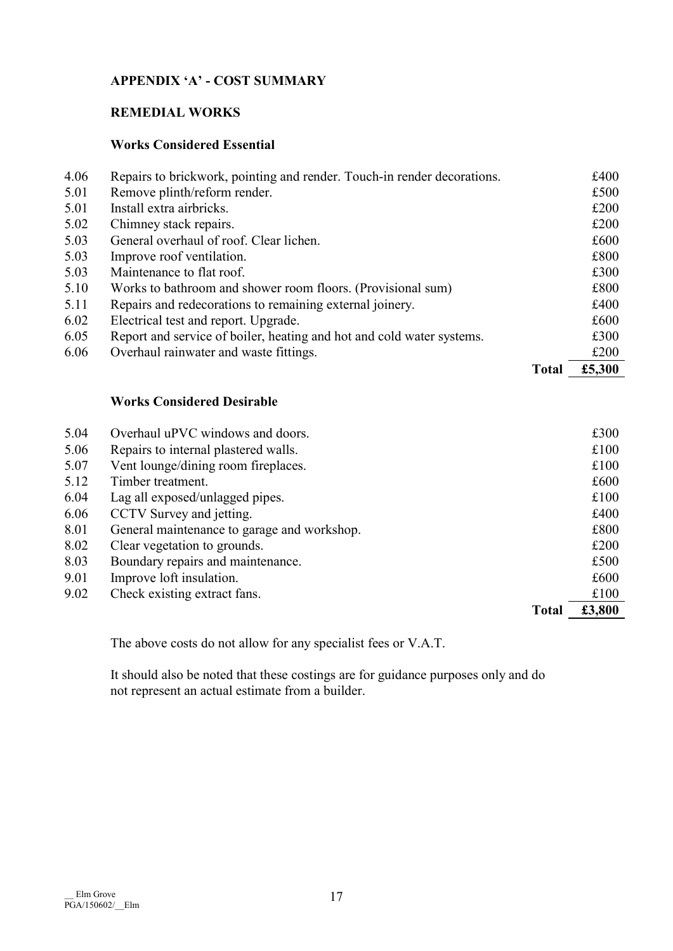# APPENDIX 'A' - COST SUMMARY

# REMEDIAL WORKS

# Works Considered Essential

|      |                                                                         | <b>Total</b> | £5,300 |
|------|-------------------------------------------------------------------------|--------------|--------|
| 6.06 | Overhaul rainwater and waste fittings.                                  |              | £200   |
| 6.05 | Report and service of boiler, heating and hot and cold water systems.   |              | £300   |
| 6.02 | Electrical test and report. Upgrade.                                    |              | £600   |
| 5.11 | Repairs and redecorations to remaining external joinery.                |              | £400   |
| 5.10 | Works to bathroom and shower room floors. (Provisional sum)             |              | £800   |
| 5.03 | Maintenance to flat roof.                                               |              | £300   |
| 5.03 | Improve roof ventilation.                                               |              | £800   |
| 5.03 | General overhaul of roof. Clear lichen.                                 |              | £600   |
| 5.02 | Chimney stack repairs.                                                  |              | £200   |
| 5.01 | Install extra airbricks.                                                |              | £200   |
| 5.01 | Remove plinth/reform render.                                            |              | £500   |
| 4.06 | Repairs to brickwork, pointing and render. Touch-in render decorations. |              | £400   |

# Works Considered Desirable

| 5.04 | Overhaul uPVC windows and doors.            |              | £300   |
|------|---------------------------------------------|--------------|--------|
| 5.06 | Repairs to internal plastered walls.        |              | £100   |
| 5.07 | Vent lounge/dining room fireplaces.         |              | £100   |
| 5.12 | Timber treatment.                           |              | £600   |
| 6.04 | Lag all exposed/unlagged pipes.             |              | £100   |
| 6.06 | CCTV Survey and jetting.                    |              | £400   |
| 8.01 | General maintenance to garage and workshop. |              | £800   |
| 8.02 | Clear vegetation to grounds.                |              | £200   |
| 8.03 | Boundary repairs and maintenance.           |              | £500   |
| 9.01 | Improve loft insulation.                    |              | £600   |
| 9.02 | Check existing extract fans.                |              | £100   |
|      |                                             | <b>Total</b> | £3,800 |

The above costs do not allow for any specialist fees or V.A.T.

 It should also be noted that these costings are for guidance purposes only and do not represent an actual estimate from a builder.